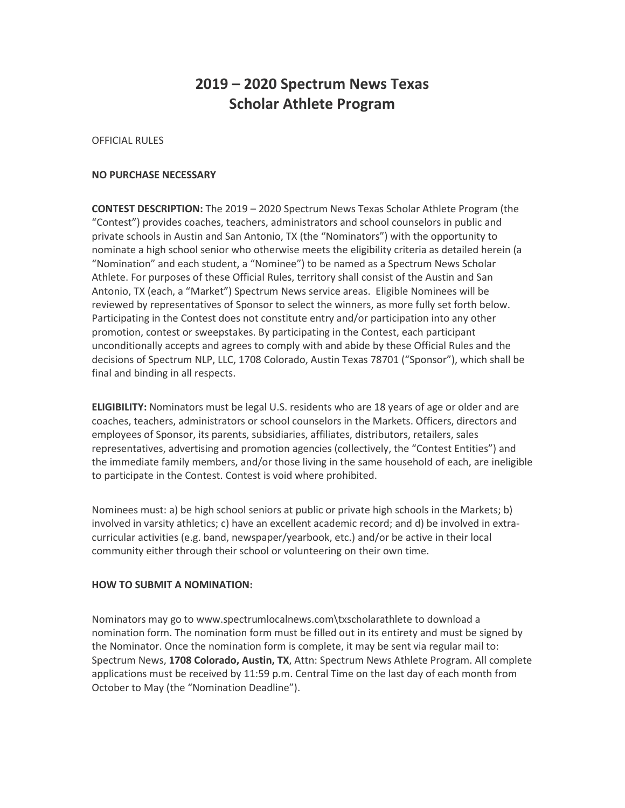## **2019 – 2020 Spectrum News Texas Scholar Athlete Program**

OFFICIAL RULES

## **NO PURCHASE NECESSARY**

**CONTEST DESCRIPTION:** The 2019 – 2020 Spectrum News Texas Scholar Athlete Program (the "Contest") provides coaches, teachers, administrators and school counselors in public and private schools in Austin and San Antonio, TX (the "Nominators") with the opportunity to nominate a high school senior who otherwise meets the eligibility criteria as detailed herein (a "Nomination" and each student, a "Nominee") to be named as a Spectrum News Scholar Athlete. For purposes of these Official Rules, territory shall consist of the Austin and San Antonio, TX (each, a "Market") Spectrum News service areas. Eligible Nominees will be reviewed by representatives of Sponsor to select the winners, as more fully set forth below. Participating in the Contest does not constitute entry and/or participation into any other promotion, contest or sweepstakes. By participating in the Contest, each participant unconditionally accepts and agrees to comply with and abide by these Official Rules and the decisions of Spectrum NLP, LLC, 1708 Colorado, Austin Texas 78701 ("Sponsor"), which shall be final and binding in all respects.

**ELIGIBILITY:** Nominators must be legal U.S. residents who are 18 years of age or older and are coaches, teachers, administrators or school counselors in the Markets. Officers, directors and employees of Sponsor, its parents, subsidiaries, affiliates, distributors, retailers, sales representatives, advertising and promotion agencies (collectively, the "Contest Entities") and the immediate family members, and/or those living in the same household of each, are ineligible to participate in the Contest. Contest is void where prohibited.

Nominees must: a) be high school seniors at public or private high schools in the Markets; b) involved in varsity athletics; c) have an excellent academic record; and d) be involved in extracurricular activities (e.g. band, newspaper/yearbook, etc.) and/or be active in their local community either through their school or volunteering on their own time.

## **HOW TO SUBMIT A NOMINATION:**

Nominators may go to www.spectrumlocalnews.com\txscholarathlete to download a nomination form. The nomination form must be filled out in its entirety and must be signed by the Nominator. Once the nomination form is complete, it may be sent via regular mail to: Spectrum News, **1708 Colorado, Austin, TX**, Attn: Spectrum News Athlete Program. All complete applications must be received by 11:59 p.m. Central Time on the last day of each month from October to May (the "Nomination Deadline").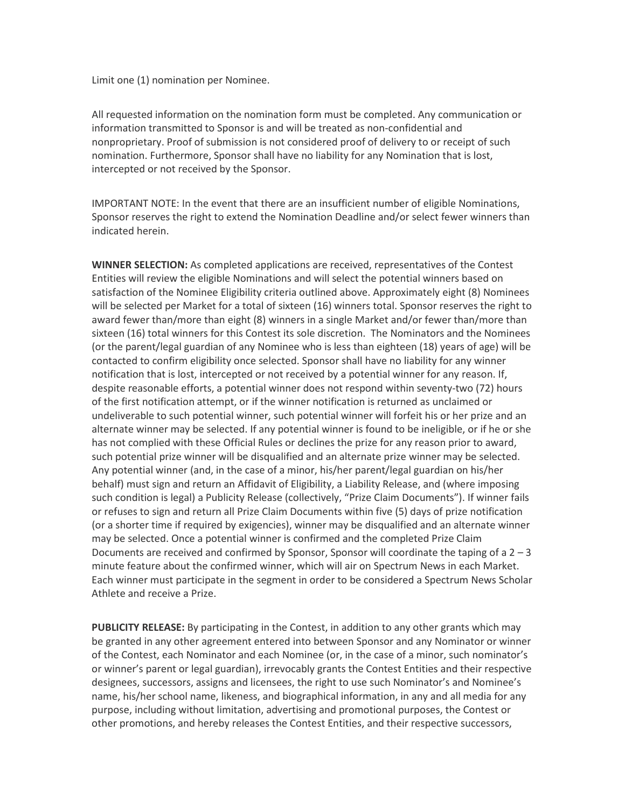Limit one (1) nomination per Nominee.

All requested information on the nomination form must be completed. Any communication or information transmitted to Sponsor is and will be treated as non-confidential and nonproprietary. Proof of submission is not considered proof of delivery to or receipt of such nomination. Furthermore, Sponsor shall have no liability for any Nomination that is lost, intercepted or not received by the Sponsor.

IMPORTANT NOTE: In the event that there are an insufficient number of eligible Nominations, Sponsor reserves the right to extend the Nomination Deadline and/or select fewer winners than indicated herein.

**WINNER SELECTION:** As completed applications are received, representatives of the Contest Entities will review the eligible Nominations and will select the potential winners based on satisfaction of the Nominee Eligibility criteria outlined above. Approximately eight (8) Nominees will be selected per Market for a total of sixteen (16) winners total. Sponsor reserves the right to award fewer than/more than eight (8) winners in a single Market and/or fewer than/more than sixteen (16) total winners for this Contest its sole discretion. The Nominators and the Nominees (or the parent/legal guardian of any Nominee who is less than eighteen (18) years of age) will be contacted to confirm eligibility once selected. Sponsor shall have no liability for any winner notification that is lost, intercepted or not received by a potential winner for any reason. If, despite reasonable efforts, a potential winner does not respond within seventy-two (72) hours of the first notification attempt, or if the winner notification is returned as unclaimed or undeliverable to such potential winner, such potential winner will forfeit his or her prize and an alternate winner may be selected. If any potential winner is found to be ineligible, or if he or she has not complied with these Official Rules or declines the prize for any reason prior to award, such potential prize winner will be disqualified and an alternate prize winner may be selected. Any potential winner (and, in the case of a minor, his/her parent/legal guardian on his/her behalf) must sign and return an Affidavit of Eligibility, a Liability Release, and (where imposing such condition is legal) a Publicity Release (collectively, "Prize Claim Documents"). If winner fails or refuses to sign and return all Prize Claim Documents within five (5) days of prize notification (or a shorter time if required by exigencies), winner may be disqualified and an alternate winner may be selected. Once a potential winner is confirmed and the completed Prize Claim Documents are received and confirmed by Sponsor, Sponsor will coordinate the taping of a  $2 - 3$ minute feature about the confirmed winner, which will air on Spectrum News in each Market. Each winner must participate in the segment in order to be considered a Spectrum News Scholar Athlete and receive a Prize.

**PUBLICITY RELEASE:** By participating in the Contest, in addition to any other grants which may be granted in any other agreement entered into between Sponsor and any Nominator or winner of the Contest, each Nominator and each Nominee (or, in the case of a minor, such nominator's or winner's parent or legal guardian), irrevocably grants the Contest Entities and their respective designees, successors, assigns and licensees, the right to use such Nominator's and Nominee's name, his/her school name, likeness, and biographical information, in any and all media for any purpose, including without limitation, advertising and promotional purposes, the Contest or other promotions, and hereby releases the Contest Entities, and their respective successors,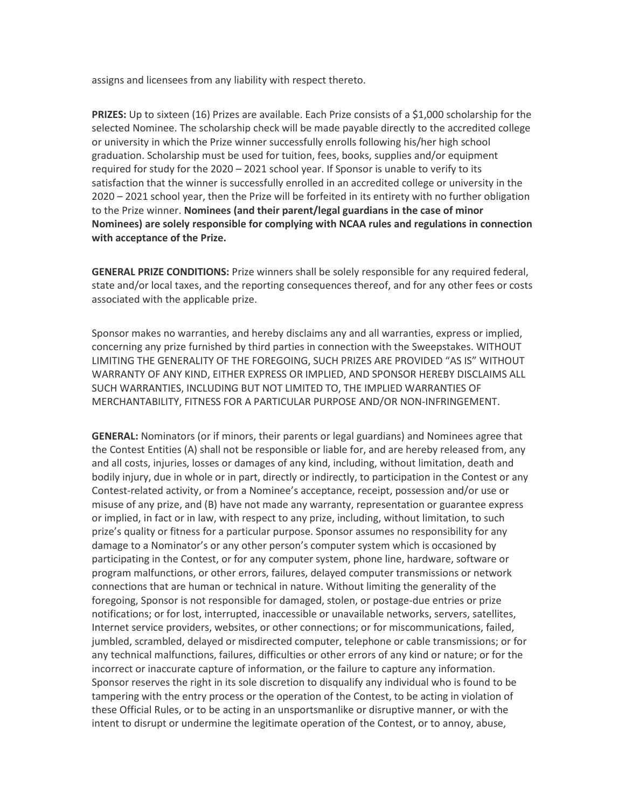assigns and licensees from any liability with respect thereto.

**PRIZES:** Up to sixteen (16) Prizes are available. Each Prize consists of a \$1,000 scholarship for the selected Nominee. The scholarship check will be made payable directly to the accredited college or university in which the Prize winner successfully enrolls following his/her high school graduation. Scholarship must be used for tuition, fees, books, supplies and/or equipment required for study for the 2020 – 2021 school year. If Sponsor is unable to verify to its satisfaction that the winner is successfully enrolled in an accredited college or university in the 2020 – 2021 school year, then the Prize will be forfeited in its entirety with no further obligation to the Prize winner. **Nominees (and their parent/legal guardians in the case of minor Nominees) are solely responsible for complying with NCAA rules and regulations in connection with acceptance of the Prize.**

**GENERAL PRIZE CONDITIONS:** Prize winners shall be solely responsible for any required federal, state and/or local taxes, and the reporting consequences thereof, and for any other fees or costs associated with the applicable prize.

Sponsor makes no warranties, and hereby disclaims any and all warranties, express or implied, concerning any prize furnished by third parties in connection with the Sweepstakes. WITHOUT LIMITING THE GENERALITY OF THE FOREGOING, SUCH PRIZES ARE PROVIDED "AS IS" WITHOUT WARRANTY OF ANY KIND, EITHER EXPRESS OR IMPLIED, AND SPONSOR HEREBY DISCLAIMS ALL SUCH WARRANTIES, INCLUDING BUT NOT LIMITED TO, THE IMPLIED WARRANTIES OF MERCHANTABILITY, FITNESS FOR A PARTICULAR PURPOSE AND/OR NON-INFRINGEMENT.

**GENERAL:** Nominators (or if minors, their parents or legal guardians) and Nominees agree that the Contest Entities (A) shall not be responsible or liable for, and are hereby released from, any and all costs, injuries, losses or damages of any kind, including, without limitation, death and bodily injury, due in whole or in part, directly or indirectly, to participation in the Contest or any Contest-related activity, or from a Nominee's acceptance, receipt, possession and/or use or misuse of any prize, and (B) have not made any warranty, representation or guarantee express or implied, in fact or in law, with respect to any prize, including, without limitation, to such prize's quality or fitness for a particular purpose. Sponsor assumes no responsibility for any damage to a Nominator's or any other person's computer system which is occasioned by participating in the Contest, or for any computer system, phone line, hardware, software or program malfunctions, or other errors, failures, delayed computer transmissions or network connections that are human or technical in nature. Without limiting the generality of the foregoing, Sponsor is not responsible for damaged, stolen, or postage-due entries or prize notifications; or for lost, interrupted, inaccessible or unavailable networks, servers, satellites, Internet service providers, websites, or other connections; or for miscommunications, failed, jumbled, scrambled, delayed or misdirected computer, telephone or cable transmissions; or for any technical malfunctions, failures, difficulties or other errors of any kind or nature; or for the incorrect or inaccurate capture of information, or the failure to capture any information. Sponsor reserves the right in its sole discretion to disqualify any individual who is found to be tampering with the entry process or the operation of the Contest, to be acting in violation of these Official Rules, or to be acting in an unsportsmanlike or disruptive manner, or with the intent to disrupt or undermine the legitimate operation of the Contest, or to annoy, abuse,